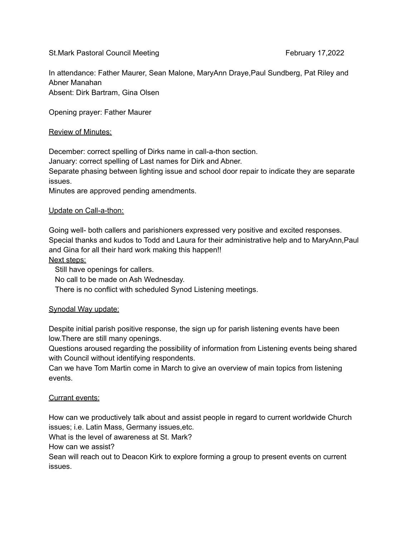St.Mark Pastoral Council Meeting February 17,2022

In attendance: Father Maurer, Sean Malone, MaryAnn Draye,Paul Sundberg, Pat Riley and Abner Manahan Absent: Dirk Bartram, Gina Olsen

Opening prayer: Father Maurer

## Review of Minutes:

December: correct spelling of Dirks name in call-a-thon section.

January: correct spelling of Last names for Dirk and Abner.

Separate phasing between lighting issue and school door repair to indicate they are separate issues.

Minutes are approved pending amendments.

## Update on Call-a-thon:

Going well- both callers and parishioners expressed very positive and excited responses. Special thanks and kudos to Todd and Laura for their administrative help and to MaryAnn,Paul and Gina for all their hard work making this happen!!

Next steps:

Still have openings for callers.

No call to be made on Ash Wednesday.

There is no conflict with scheduled Synod Listening meetings.

## Synodal Way update:

Despite initial parish positive response, the sign up for parish listening events have been low.There are still many openings.

Questions aroused regarding the possibility of information from Listening events being shared with Council without identifying respondents.

Can we have Tom Martin come in March to give an overview of main topics from listening events.

## Currant events:

How can we productively talk about and assist people in regard to current worldwide Church issues; i.e. Latin Mass, Germany issues,etc.

What is the level of awareness at St. Mark?

How can we assist?

Sean will reach out to Deacon Kirk to explore forming a group to present events on current issues.